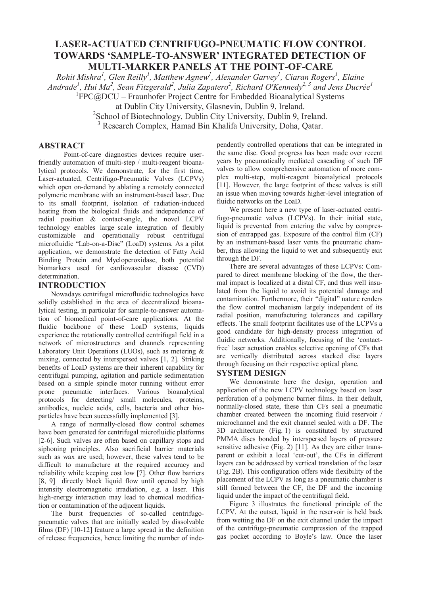# **LASER-ACTUATED CENTRIFUGO-PNEUMATIC FLOW CONTROL TOWARDS 'SAMPLE-TO-ANSWER' INTEGRATED DETECTION OF MULTI-MARKER PANELS AT THE POINT-OF-CARE**

*Rohit Mishra<sup>1</sup>, Glen Reilly<sup>1</sup>, Matthew Agnew<sup>1</sup>, Alexander Garvey<sup>1</sup>, Ciaran Rogers<sup>1</sup>, Elaine Andrade1 , Hui Ma<sup>2</sup> , Sean Fitzgerald<sup>2</sup> , Julia Zapatero<sup>2</sup> , Richard O'Kennedy2, 3 and Jens Ducrée1* <sup>1</sup> FPC@DCU – Fraunhofer Project Centre for Embedded Bioanalytical Systems

at Dublin City University, Glasnevin, Dublin 9, Ireland.

<sup>2</sup>School of Biotechnology, Dublin City University, Dublin 9, Ireland.

3 Research Complex, Hamad Bin Khalifa University, Doha, Qatar.

## **ABSTRACT**

Point-of-care diagnostics devices require userfriendly automation of multi-step / multi-reagent bioanalytical protocols. We demonstrate, for the first time, Laser-actuated, Centrifugo-Pneumatic Valves (LCPVs) which open on-demand by ablating a remotely connected polymeric membrane with an instrument-based laser. Due to its small footprint, isolation of radiation-induced heating from the biological fluids and independence of radial position & contact-angle, the novel LCPV technology enables large–scale integration of flexibly customizable and operationally robust centrifugal microfluidic "Lab-on-a-Disc" (LoaD) systems. As a pilot application, we demonstrate the detection of Fatty Acid Binding Protein and Myeloperoxidase, both potential biomarkers used for cardiovascular disease (CVD) determination.

## **INTRODUCTION**

Nowadays centrifugal microfluidic technologies have solidly established in the area of decentralized bioanalytical testing, in particular for sample-to-answer automation of biomedical point-of-care applications. At the fluidic backbone of these LoaD systems, liquids experience the rotationally controlled centrifugal field in a network of microstructures and channels representing Laboratory Unit Operations (LUOs), such as metering & mixing, connected by interspersed valves [1, 2]. Striking benefits of LoaD systems are their inherent capability for centrifugal pumping, agitation and particle sedimentation based on a simple spindle motor running without error prone pneumatic interfaces. Various bioanalytical protocols for detecting/ small molecules, proteins, antibodies, nucleic acids, cells, bacteria and other bioparticles have been successfully implemented [3].

A range of normally-closed flow control schemes have been generated for centrifugal microfluidic platforms [2-6]. Such valves are often based on capillary stops and siphoning principles. Also sacrificial barrier materials such as wax are used; however, these valves tend to be difficult to manufacture at the required accuracy and reliability while keeping cost low [7]. Other flow barriers [8, 9] directly block liquid flow until opened by high intensity electromagnetic irradiation, e.g. a laser. This high-energy interaction may lead to chemical modification or contamination of the adjacent liquids.

The burst frequencies of so-called centrifugopneumatic valves that are initially sealed by dissolvable films (DF) [10-12] feature a large spread in the definition of release frequencies, hence limiting the number of independently controlled operations that can be integrated in the same disc. Good progress has been made over recent years by pneumatically mediated cascading of such DF valves to allow comprehensive automation of more complex multi-step, multi-reagent bioanalytical protocols [11]. However, the large footprint of these valves is still an issue when moving towards higher-level integration of fluidic networks on the LoaD.

We present here a new type of laser-actuated centrifugo-pneumatic valves (LCPVs). In their initial state, liquid is prevented from entering the valve by compression of entrapped gas. Exposure of the control film (CF) by an instrument-based laser vents the pneumatic chamber, thus allowing the liquid to wet and subsequently exit through the DF.

There are several advantages of these LCPVs: Compared to direct membrane blocking of the flow, the thermal impact is localized at a distal CF, and thus well insulated from the liquid to avoid its potential damage and contamination. Furthermore, their "digital" nature renders the flow control mechanism largely independent of its radial position, manufacturing tolerances and capillary effects. The small footprint facilitates use of the LCPVs a good candidate for high-density process integration of fluidic networks. Additionally, focusing of the 'contactfree' laser actuation enables selective opening of CFs that are vertically distributed across stacked disc layers through focusing on their respective optical plane.

## **SYSTEM DESIGN**

We demonstrate here the design, operation and application of the new LCPV technology based on laser perforation of a polymeric barrier films. In their default, normally-closed state, these thin CFs seal a pneumatic chamber created between the incoming fluid reservoir / microchannel and the exit channel sealed with a DF. The 3D architecture (Fig. 1) is constituted by structured PMMA discs bonded by interspersed layers of pressure sensitive adhesive (Fig. 2) [11]. As they are either transparent or exhibit a local 'cut-out', the CFs in different layers can be addressed by vertical translation of the laser (Fig. 2B). This configuration offers wide flexibility of the placement of the LCPV as long as a pneumatic chamber is still formed between the CF, the DF and the incoming liquid under the impact of the centrifugal field.

Figure 3 illustrates the functional principle of the LCPV. At the outset, liquid in the reservoir is held back from wetting the DF on the exit channel under the impact of the centrifugo-pneumatic compression of the trapped gas pocket according to Boyle's law. Once the laser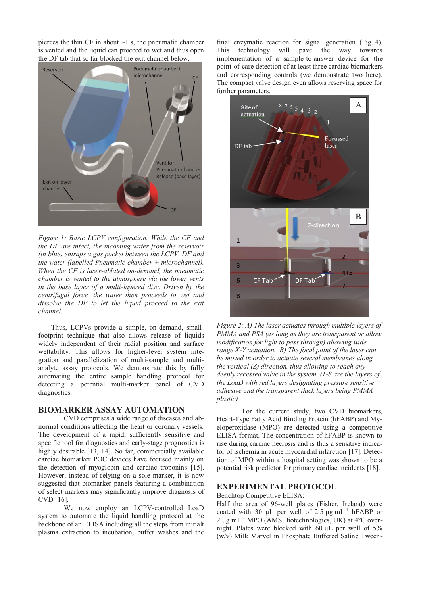pierces the thin CF in about  $\sim$ 1 s, the pneumatic chamber is vented and the liquid can proceed to wet and thus open the DF tab that so far blocked the exit channel below.



*Figure 1: Basic LCPV configuration. While the CF and the DF are intact, the incoming water from the reservoir (in blue) entraps a gas pocket between the LCPV, DF and the water (labelled Pneumatic chamber + microchannel). When the CF is laser-ablated on-demand, the pneumatic chamber is vented to the atmosphere via the lower vents in the base layer of a multi-layered disc. Driven by the centrifugal force, the water then proceeds to wet and dissolve the DF to let the liquid proceed to the exit channel.*

Thus, LCPVs provide a simple, on-demand, smallfootprint technique that also allows release of liquids widely independent of their radial position and surface wettability. This allows for higher-level system integration and parallelization of multi-sample and multianalyte assay protocols. We demonstrate this by fully automating the entire sample handling protocol for detecting a potential multi-marker panel of CVD diagnostics.

## **BIOMARKER ASSAY AUTOMATION**

CVD comprises a wide range of diseases and abnormal conditions affecting the heart or coronary vessels. The development of a rapid, sufficiently sensitive and specific tool for diagnostics and early-stage prognostics is highly desirable [13, 14]. So far, commercially available cardiac biomarker POC devices have focused mainly on the detection of myoglobin and cardiac troponins [15]. However, instead of relying on a sole marker, it is now suggested that biomarker panels featuring a combination of select markers may significantly improve diagnosis of CVD [16].

We now employ an LCPV-controlled LoaD system to automate the liquid handling protocol at the backbone of an ELISA including all the steps from initialt plasma extraction to incubation, buffer washes and the

final enzymatic reaction for signal generation (Fig. 4). This technology will pave the way towards implementation of a sample-to-answer device for the point-of-care detection of at least three cardiac biomarkers and corresponding controls (we demonstrate two here). The compact valve design even allows reserving space for further parameters.



*Figure 2: A) The laser actuates through multiple layers of PMMA and PSA (as long as they are transparent or allow modification for light to pass through) allowing wide range X-Y actuation. B) The focal point of the laser can be moved in order to actuate several membranes along the vertical (Z) direction, thus allowing to reach any deeply recessed valve in the system. (1-8 are the layers of the LoaD with red layers designating pressure sensitive adhesive and the transparent thick layers being PMMA plastic)* 

For the current study, two CVD biomarkers, Heart-Type Fatty Acid Binding Protein (hFABP) and Myeloperoxidase (MPO) are detected using a competitive ELISA format. The concentration of hFABP is known to rise during cardiac necrosis and is thus a sensitive indicator of ischemia in acute myocardial infarction [17]. Detection of MPO within a hospital setting was shown to be a potential risk predictor for primary cardiac incidents [18].

### **EXPERIMENTAL PROTOCOL**

Benchtop Competitive ELISA:

Half the area of 96-well plates (Fisher, Ireland) were coated with 30  $\mu$ L per well of 2.5  $\mu$ g mL<sup>-1</sup> hFABP or 2 μg mL-1 MPO (AMS Biotechnologies, UK) at 4°C overnight. Plates were blocked with 60 μL per well of 5% (w/v) Milk Marvel in Phosphate Buffered Saline Tween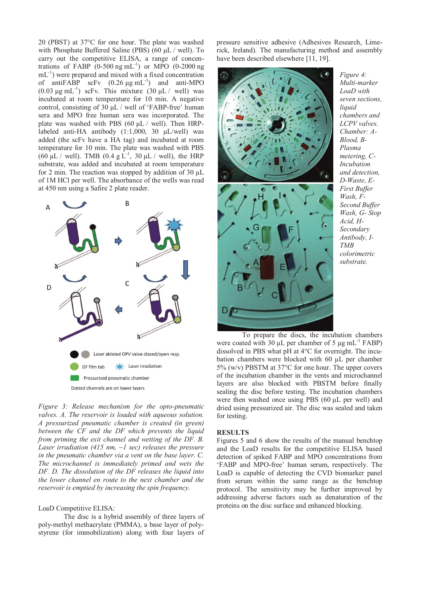20 (PBST) at 37°C for one hour. The plate was washed with Phosphate Buffered Saline (PBS) (60 μL / well). To carry out the competitive ELISA, a range of concentrations of FABP  $(0-500 \text{ ng } \text{mL}^{-1})$  or MPO  $(0-2000 \text{ ng})$  $mL^{-1}$ ) were prepared and mixed with a fixed concentration of antiFABP scFv  $(0.26 \mu g \text{ mL}^{-1})$  and anti-MPO  $(0.03 \text{ μg } \text{mL}^{-1})$  scFv. This mixture  $(30 \text{ μL} / \text{well})$  was incubated at room temperature for 10 min. A negative control, consisting of 30 μL / well of 'FABP-free' human sera and MPO free human sera was incorporated. The plate was washed with PBS (60  $\mu$ L / well). Then HRPlabeled anti-HA antibody (1:1,000, 30 μL/well) was added (the scFv have a HA tag) and incubated at room temperature for 10 min. The plate was washed with PBS (60 μL / well). TMB (0.4 g  $\rm L^{-1}$ , 30 μL / well), the HRP substrate, was added and incubated at room temperature for 2 min. The reaction was stopped by addition of 30 μL of 1M HCl per well. The absorbance of the wells was read at 450 nm using a Safire 2 plate reader.



*Figure 3: Release mechanism for the opto-pneumatic valves. A. The reservoir is loaded with aqueous solution. A pressurized pneumatic chamber is created (in green) between the CF and the DF which prevents the liquid from priming the exit channel and wetting of the DF. B. Laser irradiation (415 nm, ~1 sec) releases the pressure in the pneumatic chamber via a vent on the base layer. C. The microchannel is immediately primed and wets the DF. D. The dissolution of the DF releases the liquid into the lower channel en route to the next chamber and the reservoir is emptied by increasing the spin frequency.*

#### LoaD Competitive ELISA:

The disc is a hybrid assembly of three layers of poly-methyl methacrylate (PMMA), a base layer of polystyrene (for immobilization) along with four layers of

pressure sensitive adhesive (Adhesives Research, Limerick, Ireland). The manufacturing method and assembly have been described elsewhere [11, 19].



*Figure 4: Multi-marker LoaD with seven sections, liquid chambers and LCPV valves. Chamber: A-Blood, B-Plasma metering, C-Incubation and detection, D-Waste, E-First Buffer Wash, F-Second Buffer Wash, G- Stop Acid, H-Secondary Antibody, I-TMB colorimetric substrate.* 

To prepare the discs, the incubation chambers were coated with 30  $\mu$ L per chamber of 5  $\mu$ g mL<sup>-1</sup> FABP) dissolved in PBS what pH at 4°C for overnight. The incubation chambers were blocked with 60 μL per chamber 5% (w/v) PBSTM at 37°C for one hour. The upper covers of the incubation chamber in the vents and microchannel layers are also blocked with PBSTM before finally sealing the disc before testing. The incubation chambers were then washed once using PBS (60 μL per well) and dried using pressurized air. The disc was sealed and taken for testing.

#### **RESULTS**

Figures 5 and 6 show the results of the manual benchtop and the LoaD results for the competitive ELISA based detection of spiked FABP and MPO concentrations from 'FABP and MPO-free' human serum, respectively. The LoaD is capable of detecting the CVD biomarker panel from serum within the same range as the benchtop protocol. The sensitivity may be further improved by addressing adverse factors such as denaturation of the proteins on the disc surface and enhanced blocking.